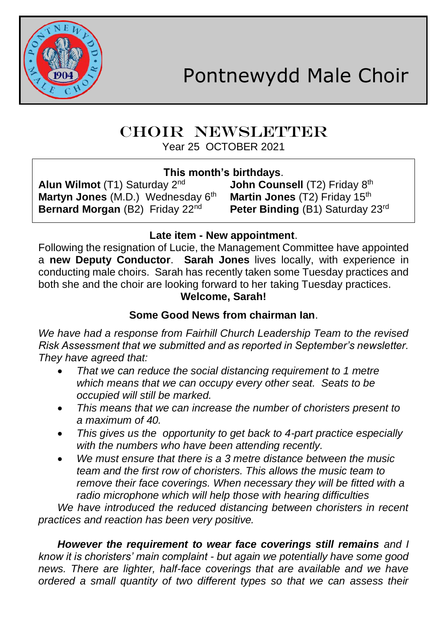

# CHOIR NEWSLETTER

Year 25 OCTOBER 2021

**This month's birthdays**.

**Alun Wilmot** (T1) Saturday 2<sup>nd</sup> **Martyn Jones** (M.D.) Wednesday 6<sup>th</sup> **Martin Jones** (T2) Friday 15<sup>th</sup><br>**Bernard Morgan** (B2) Friday 22<sup>nd</sup> Peter Binding (B1) Saturday 2

John Counsell (T2) Friday 8th **Peter Binding (B1) Saturday 23rd** 

## **Late item - New appointment**.

Following the resignation of Lucie, the Management Committee have appointed a **new Deputy Conductor**. **Sarah Jones** lives locally, with experience in conducting male choirs. Sarah has recently taken some Tuesday practices and both she and the choir are looking forward to her taking Tuesday practices.

## **Welcome, Sarah!**

## **Some Good News from chairman Ian**.

*We have had a response from Fairhill Church Leadership Team to the revised Risk Assessment that we submitted and as reported in September's newsletter. They have agreed that:*

- *That we can reduce the social distancing requirement to 1 metre which means that we can occupy every other seat. Seats to be occupied will still be marked.*
- *This means that we can increase the number of choristers present to a maximum of 40.*
- *This gives us the opportunity to get back to 4-part practice especially with the numbers who have been attending recently.*
- *We must ensure that there is a 3 metre distance between the music team and the first row of choristers. This allows the music team to remove their face coverings. When necessary they will be fitted with a radio microphone which will help those with hearing difficulties*

*We have introduced the reduced distancing between choristers in recent practices and reaction has been very positive.*

*However the requirement to wear face coverings still remains and I know it is choristers' main complaint - but again we potentially have some good news. There are lighter, half-face coverings that are available and we have ordered a small quantity of two different types so that we can assess their*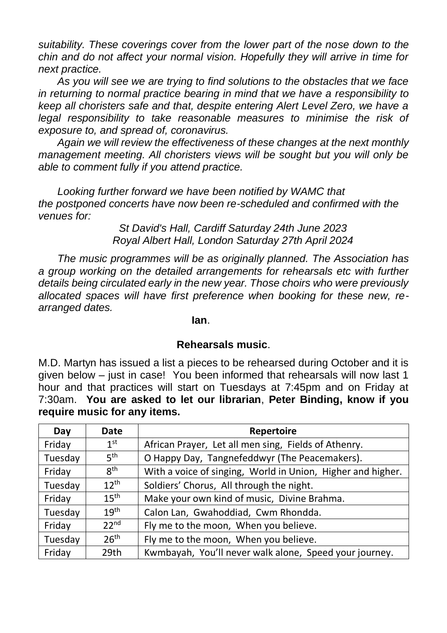*suitability. These coverings cover from the lower part of the nose down to the chin and do not affect your normal vision. Hopefully they will arrive in time for next practice.*

*As you will see we are trying to find solutions to the obstacles that we face in returning to normal practice bearing in mind that we have a responsibility to keep all choristers safe and that, despite entering Alert Level Zero, we have a*  legal responsibility to take reasonable measures to minimise the risk of *exposure to, and spread of, coronavirus.*

*Again we will review the effectiveness of these changes at the next monthly management meeting. All choristers views will be sought but you will only be able to comment fully if you attend practice.*

*Looking further forward we have been notified by WAMC that the postponed concerts have now been re-scheduled and confirmed with the venues for:*

> *St David's Hall, Cardiff Saturday 24th June 2023 Royal Albert Hall, London Saturday 27th April 2024*

*The music programmes will be as originally planned. The Association has a group working on the detailed arrangements for rehearsals etc with further details being circulated early in the new year. Those choirs who were previously allocated spaces will have first preference when booking for these new, rearranged dates.*

**Ian**.

### **Rehearsals music**.

M.D. Martyn has issued a list a pieces to be rehearsed during October and it is given below – just in case! You been informed that rehearsals will now last 1 hour and that practices will start on Tuesdays at 7:45pm and on Friday at 7:30am. **You are asked to let our librarian**, **Peter Binding, know if you require music for any items.**

| Day     | Date             | Repertoire                                                  |
|---------|------------------|-------------------------------------------------------------|
| Friday  | 1 <sup>st</sup>  | African Prayer, Let all men sing, Fields of Athenry.        |
| Tuesday | 5 <sup>th</sup>  | O Happy Day, Tangnefeddwyr (The Peacemakers).               |
| Friday  | 8 <sup>th</sup>  | With a voice of singing, World in Union, Higher and higher. |
| Tuesday | $12^{th}$        | Soldiers' Chorus, All through the night.                    |
| Friday  | 15 <sup>th</sup> | Make your own kind of music, Divine Brahma.                 |
| Tuesday | 19 <sup>th</sup> | Calon Lan, Gwahoddiad, Cwm Rhondda.                         |
| Friday  | 22 <sup>nd</sup> | Fly me to the moon, When you believe.                       |
| Tuesday | 26 <sup>th</sup> | Fly me to the moon, When you believe.                       |
| Friday  | 29th             | Kwmbayah, You'll never walk alone, Speed your journey.      |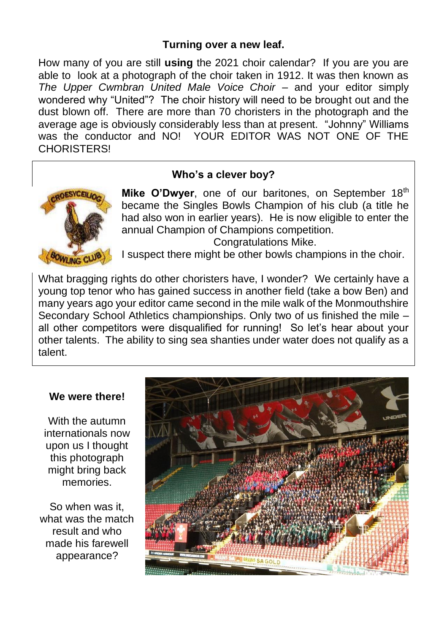### **Turning over a new leaf.**

How many of you are still **using** the 2021 choir calendar? If you are you are able to look at a photograph of the choir taken in 1912. It was then known as *The Upper Cwmbran United Male Voice Choir* – and your editor simply wondered why "United"? The choir history will need to be brought out and the dust blown off. There are more than 70 choristers in the photograph and the average age is obviously considerably less than at present. "Johnny" Williams was the conductor and NO! YOUR EDITOR WAS NOT ONE OF THE **CHORISTERS!** 



#### **Who's a clever boy?**

Mike O'Dwyer, one of our baritones, on September 18<sup>th</sup> became the Singles Bowls Champion of his club (a title he had also won in earlier years). He is now eligible to enter the annual Champion of Champions competition.

Congratulations Mike.

I suspect there might be other bowls champions in the choir.

What bragging rights do other choristers have, I wonder? We certainly have a young top tenor who has gained success in another field (take a bow Ben) and many years ago your editor came second in the mile walk of the Monmouthshire Secondary School Athletics championships. Only two of us finished the mile – all other competitors were disqualified for running! So let's hear about your other talents. The ability to sing sea shanties under water does not qualify as a talent.

#### **We were there!**

With the autumn internationals now upon us I thought this photograph might bring back memories.

So when was it, what was the match result and who made his farewell appearance?